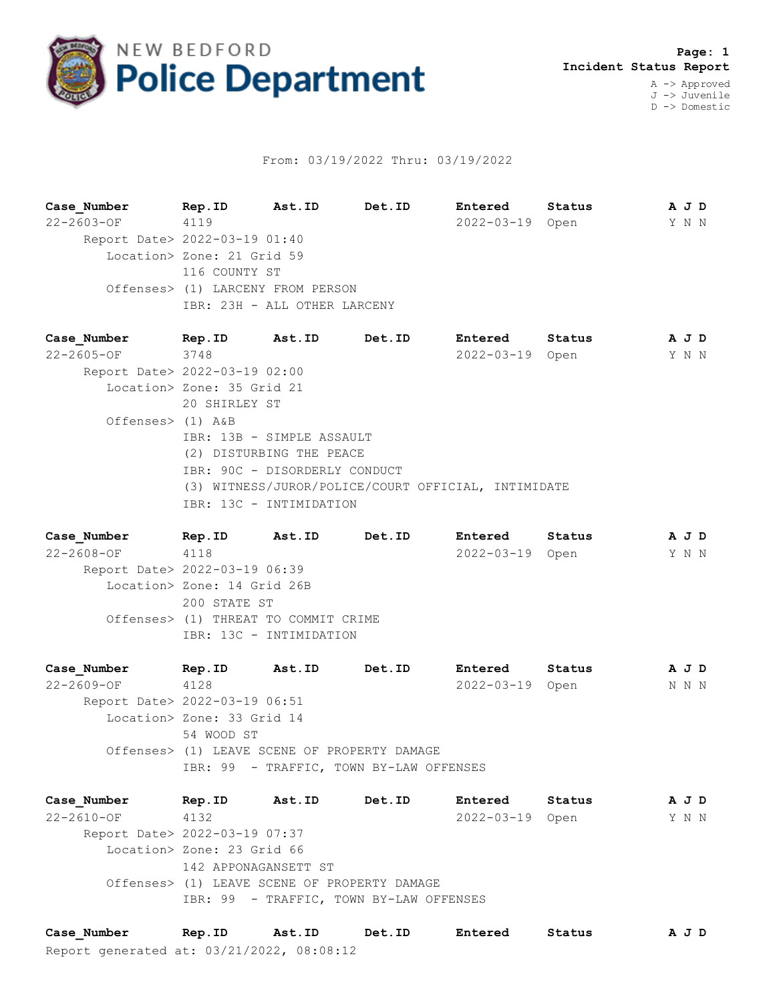

## From: 03/19/2022 Thru: 03/19/2022

**Case\_Number Rep.ID Ast.ID Det.ID Entered Status A J D** 22-2603-OF 4119 2022-03-19 Open Y N N Report Date> 2022-03-19 01:40 Location> Zone: 21 Grid 59 116 COUNTY ST Offenses> (1) LARCENY FROM PERSON IBR: 23H - ALL OTHER LARCENY

**Case\_Number Rep.ID Ast.ID Det.ID Entered Status A J D** 22-2605-OF 3748 2022-03-19 Open Y N N Report Date> 2022-03-19 02:00 Location> Zone: 35 Grid 21 20 SHIRLEY ST Offenses> (1) A&B IBR: 13B - SIMPLE ASSAULT (2) DISTURBING THE PEACE IBR: 90C - DISORDERLY CONDUCT (3) WITNESS/JUROR/POLICE/COURT OFFICIAL, INTIMIDATE IBR: 13C - INTIMIDATION

**Case\_Number Rep.ID Ast.ID Det.ID Entered Status A J D** 22-2608-OF 4118 2022-03-19 Open Y N N Report Date> 2022-03-19 06:39 Location> Zone: 14 Grid 26B 200 STATE ST Offenses> (1) THREAT TO COMMIT CRIME IBR: 13C - INTIMIDATION

**Case\_Number Rep.ID Ast.ID Det.ID Entered Status A J D** 22-2609-OF 4128 2022-03-19 Open N N N Report Date> 2022-03-19 06:51 Location> Zone: 33 Grid 14 54 WOOD ST Offenses> (1) LEAVE SCENE OF PROPERTY DAMAGE IBR: 99 - TRAFFIC, TOWN BY-LAW OFFENSES

**Case\_Number Rep.ID Ast.ID Det.ID Entered Status A J D** 22-2610-OF 4132 2022-03-19 Open Y N N Report Date> 2022-03-19 07:37 Location> Zone: 23 Grid 66 142 APPONAGANSETT ST Offenses> (1) LEAVE SCENE OF PROPERTY DAMAGE IBR: 99 - TRAFFIC, TOWN BY-LAW OFFENSES

Report generated at: 03/21/2022, 08:08:12 **Case\_Number Rep.ID Ast.ID Det.ID Entered Status A J D**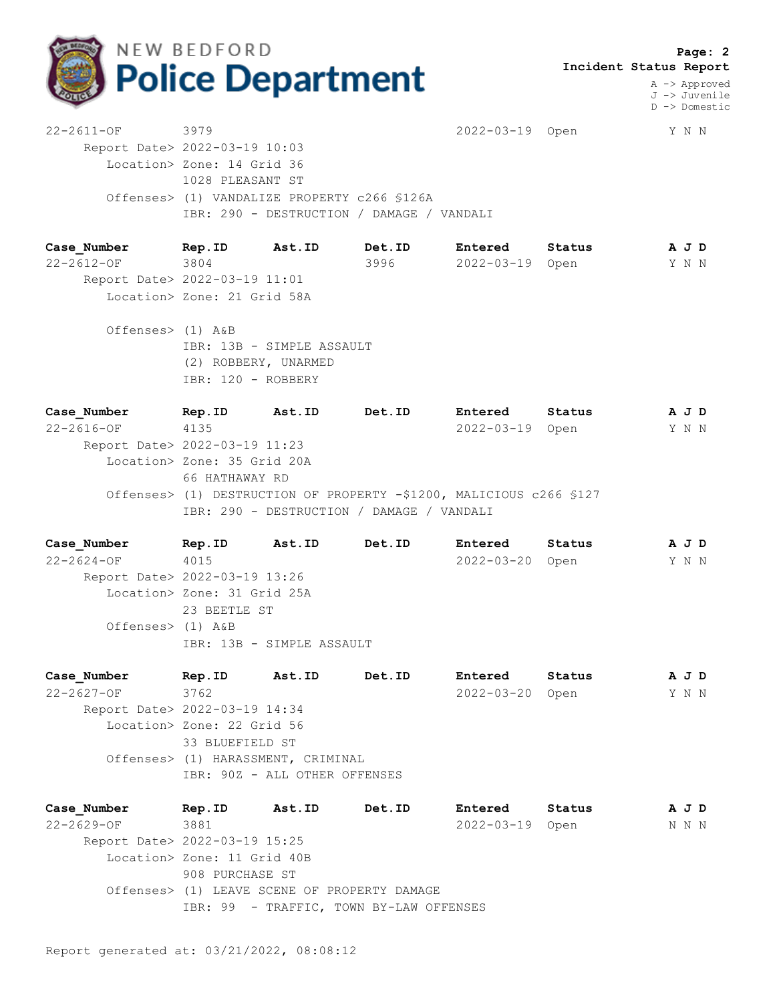

 **Page: 2 Incident Status Report**

> A -> Approved J -> Juvenile D -> Domestic

22-2611-OF 3979 2022-03-19 Open Y N N Report Date> 2022-03-19 10:03 Location> Zone: 14 Grid 36 1028 PLEASANT ST Offenses> (1) VANDALIZE PROPERTY c266 §126A IBR: 290 - DESTRUCTION / DAMAGE / VANDALI

**Case\_Number Rep.ID Ast.ID Det.ID Entered Status A J D** 22-2612-OF 3804 3996 2022-03-19 Open Y N N Report Date> 2022-03-19 11:01 Location> Zone: 21 Grid 58A

 Offenses> (1) A&B IBR: 13B - SIMPLE ASSAULT (2) ROBBERY, UNARMED IBR: 120 - ROBBERY

**Case\_Number Rep.ID Ast.ID Det.ID Entered Status A J D** 22-2616-OF 4135 2022-03-19 Open Y N N Report Date> 2022-03-19 11:23 Location> Zone: 35 Grid 20A 66 HATHAWAY RD Offenses> (1) DESTRUCTION OF PROPERTY -\$1200, MALICIOUS c266 §127 IBR: 290 - DESTRUCTION / DAMAGE / VANDALI

**Case\_Number Rep.ID Ast.ID Det.ID Entered Status A J D** 22-2624-OF 4015 2022-03-20 Open Y N N Report Date> 2022-03-19 13:26 Location> Zone: 31 Grid 25A 23 BEETLE ST Offenses> (1) A&B IBR: 13B - SIMPLE ASSAULT

| Case Number                   | Rep.ID                             | Ast.ID | Det.ID | Entered          | Status |  | A J D |  |  |
|-------------------------------|------------------------------------|--------|--------|------------------|--------|--|-------|--|--|
| $22 - 2627 - OF$              | 3762                               |        |        | $2022 - 03 - 20$ | Open   |  | Y N N |  |  |
| Report Date> 2022-03-19 14:34 |                                    |        |        |                  |        |  |       |  |  |
|                               | Location> Zone: 22 Grid 56         |        |        |                  |        |  |       |  |  |
|                               | 33 BLUEFIELD ST                    |        |        |                  |        |  |       |  |  |
|                               | Offenses> (1) HARASSMENT, CRIMINAL |        |        |                  |        |  |       |  |  |
|                               | IBR: 90Z - ALL OTHER OFFENSES      |        |        |                  |        |  |       |  |  |
|                               |                                    |        |        |                  |        |  |       |  |  |

**Case\_Number Rep.ID Ast.ID Det.ID Entered Status A J D** 22-2629-OF 3881 2022-03-19 Open N N N Report Date> 2022-03-19 15:25 Location> Zone: 11 Grid 40B 908 PURCHASE ST Offenses> (1) LEAVE SCENE OF PROPERTY DAMAGE IBR: 99 - TRAFFIC, TOWN BY-LAW OFFENSES